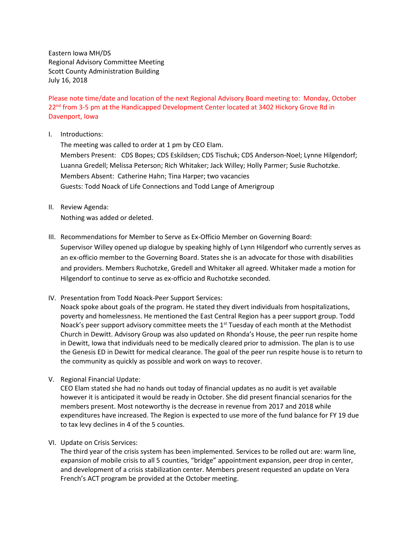Eastern Iowa MH/DS Regional Advisory Committee Meeting Scott County Administration Building July 16, 2018

Please note time/date and location of the next Regional Advisory Board meeting to: Monday, October 22<sup>nd</sup> from 3-5 pm at the Handicapped Development Center located at 3402 Hickory Grove Rd in Davenport, Iowa

I. Introductions:

The meeting was called to order at 1 pm by CEO Elam. Members Present: CDS Bopes; CDS Eskildsen; CDS Tischuk; CDS Anderson-Noel; Lynne Hilgendorf; Luanna Gredell; Melissa Peterson; Rich Whitaker; Jack Willey; Holly Parmer; Susie Ruchotzke. Members Absent: Catherine Hahn; Tina Harper; two vacancies Guests: Todd Noack of Life Connections and Todd Lange of Amerigroup

II. Review Agenda:

Nothing was added or deleted.

- III. Recommendations for Member to Serve as Ex-Officio Member on Governing Board: Supervisor Willey opened up dialogue by speaking highly of Lynn Hilgendorf who currently serves as an ex-officio member to the Governing Board. States she is an advocate for those with disabilities and providers. Members Ruchotzke, Gredell and Whitaker all agreed. Whitaker made a motion for Hilgendorf to continue to serve as ex-officio and Ruchotzke seconded.
- IV. Presentation from Todd Noack-Peer Support Services:

Noack spoke about goals of the program. He stated they divert individuals from hospitalizations, poverty and homelessness. He mentioned the East Central Region has a peer support group. Todd Noack's peer support advisory committee meets the  $1<sup>st</sup>$  Tuesday of each month at the Methodist Church in Dewitt. Advisory Group was also updated on Rhonda's House, the peer run respite home in Dewitt, Iowa that individuals need to be medically cleared prior to admission. The plan is to use the Genesis ED in Dewitt for medical clearance. The goal of the peer run respite house is to return to the community as quickly as possible and work on ways to recover.

V. Regional Financial Update:

CEO Elam stated she had no hands out today of financial updates as no audit is yet available however it is anticipated it would be ready in October. She did present financial scenarios for the members present. Most noteworthy is the decrease in revenue from 2017 and 2018 while expenditures have increased. The Region is expected to use more of the fund balance for FY 19 due to tax levy declines in 4 of the 5 counties.

VI. Update on Crisis Services:

The third year of the crisis system has been implemented. Services to be rolled out are: warm line, expansion of mobile crisis to all 5 counties, "bridge" appointment expansion, peer drop in center, and development of a crisis stabilization center. Members present requested an update on Vera French's ACT program be provided at the October meeting.